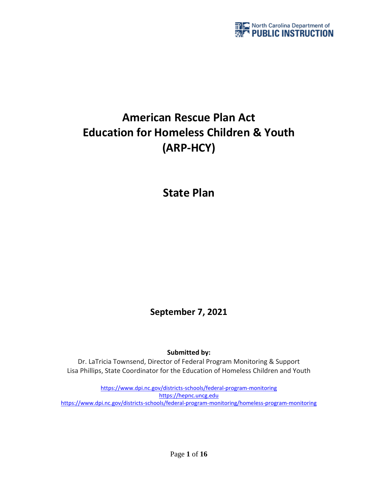

# **American Rescue Plan Act Education for Homeless Children & Youth (ARP-HCY)**

**State Plan** 

**September 7, 2021**

**Submitted by:**

Dr. LaTricia Townsend, Director of Federal Program Monitoring & Support Lisa Phillips, State Coordinator for the Education of Homeless Children and Youth

<https://www.dpi.nc.gov/districts-schools/federal-program-monitoring> [https://hepnc.uncg.edu](https://hepnc.uncg.edu/) <https://www.dpi.nc.gov/districts-schools/federal-program-monitoring/homeless-program-monitoring>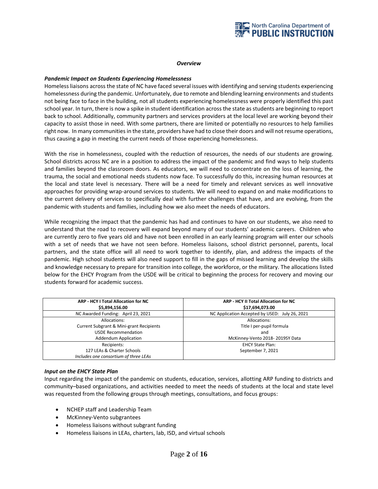

#### *Overview*

#### *Pandemic Impact on Students Experiencing Homelessness*

Homeless liaisons across the state of NC have faced several issues with identifying and serving students experiencing homelessness during the pandemic. Unfortunately, due to remote and blending learning environments and students not being face to face in the building, not all students experiencing homelessness were properly identified this past school year. In turn, there is now a spike in student identification across the state as students are beginning to report back to school. Additionally, community partners and services providers at the local level are working beyond their capacity to assist those in need. With some partners, there are limited or potentially no resources to help families right now. In many communities in the state, providers have had to close their doors and will not resume operations, thus causing a gap in meeting the current needs of those experiencing homelessness.

With the rise in homelessness, coupled with the reduction of resources, the needs of our students are growing. School districts across NC are in a position to address the impact of the pandemic and find ways to help students and families beyond the classroom doors. As educators, we will need to concentrate on the loss of learning, the trauma, the social and emotional needs students now face. To successfully do this, increasing human resources at the local and state level is necessary. There will be a need for timely and relevant services as well innovative approaches for providing wrap-around services to students. We will need to expand on and make modifications to the current delivery of services to specifically deal with further challenges that have, and are evolving, from the pandemic with students and families, including how we also meet the needs of educators.

While recognizing the impact that the pandemic has had and continues to have on our students, we also need to understand that the road to recovery will expand beyond many of our students' academic careers. Children who are currently zero to five years old and have not been enrolled in an early learning program will enter our schools with a set of needs that we have not seen before. Homeless liaisons, school district personnel, parents, local partners, and the state office will all need to work together to identify, plan, and address the impacts of the pandemic. High school students will also need support to fill in the gaps of missed learning and develop the skills and knowledge necessary to prepare for transition into college, the workforce, or the military. The allocations listed below for the EHCY Program from the USDE will be critical to beginning the process for recovery and moving our students forward for academic success.

| ARP - HCY I Total Allocation for NC<br>\$5,894,156.00 | ARP - HCY II Total Allocation for NC<br>\$17,694,073.00 |
|-------------------------------------------------------|---------------------------------------------------------|
| NC Awarded Funding: April 23, 2021                    | NC Application Accepted by USED: July 26, 2021          |
| Allocations:                                          | Allocations:                                            |
| Current Subgrant & Mini-grant Recipients              | Title I per-pupil formula                               |
| <b>USDE Recommendation</b>                            | and                                                     |
| <b>Addendum Application</b>                           | McKinney-Vento 2018-2019SY Data                         |
| Recipients:                                           | <b>EHCY State Plan:</b>                                 |
| 127 LEAs & Charter Schools                            | September 7, 2021                                       |
| Includes one consortium of three LEAs                 |                                                         |

#### *Input on the EHCY State Plan*

Input regarding the impact of the pandemic on students, education, services, allotting ARP funding to districts and community–based organizations, and activities needed to meet the needs of students at the local and state level was requested from the following groups through meetings, consultations, and focus groups:

- NCHEP staff and Leadership Team
- McKinney-Vento subgrantees
- Homeless liaisons without subgrant funding
- Homeless liaisons in LEAs, charters, lab, ISD, and virtual schools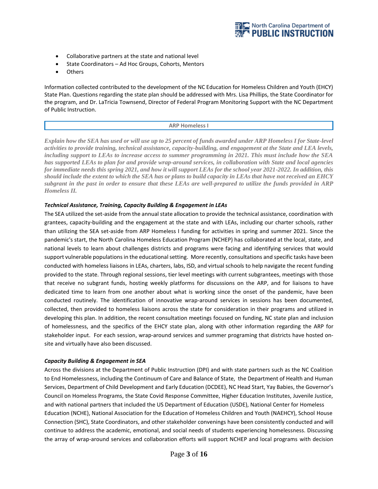

- Collaborative partners at the state and national level
- State Coordinators Ad Hoc Groups, Cohorts, Mentors
- Others

Information collected contributed to the development of the NC Education for Homeless Children and Youth (EHCY) State Plan. Questions regarding the state plan should be addressed with Mrs. Lisa Phillips, the State Coordinator for the program, and Dr. LaTricia Townsend, Director of Federal Program Monitoring Support with the NC Department of Public Instruction.

#### **ARP Homeless I**

*Explain how the SEA has used or will use up to 25 percent of funds awarded under ARP Homeless I for State-level activities to provide training, technical assistance, capacity-building, and engagement at the State and LEA levels, including support to LEAs to increase access to summer programming in 2021. This must include how the SEA has supported LEAs to plan for and provide wrap-around services, in collaboration with State and local agencies for immediate needs this spring 2021, and how it will support LEAs for the school year 2021-2022. In addition, this should include the extent to which the SEA has or plans to build capacity in LEAs that have not received an EHCY subgrant in the past in order to ensure that these LEAs are well-prepared to utilize the funds provided in ARP Homeless II.*

# *Technical Assistance, Training, Capacity Building & Engagement in LEAs*

The SEA utilized the set-aside from the annual state allocation to provide the technical assistance, coordination with grantees, capacity-building and the engagement at the state and with LEAs, including our charter schools, rather than utilizing the SEA set-aside from ARP Homeless I funding for activities in spring and summer 2021. Since the pandemic's start, the North Carolina Homeless Education Program (NCHEP) has collaborated at the local, state, and national levels to learn about challenges districts and programs were facing and identifying services that would support vulnerable populations in the educational setting. More recently, consultations and specific tasks have been conducted with homeless liaisons in LEAs, charters, labs, ISD, and virtual schools to help navigate the recent funding provided to the state. Through regional sessions, tier level meetings with current subgrantees, meetings with those that receive no subgrant funds, hosting weekly platforms for discussions on the ARP, and for liaisons to have dedicated time to learn from one another about what is working since the onset of the pandemic, have been conducted routinely. The identification of innovative wrap-around services in sessions has been documented, collected, then provided to homeless liaisons across the state for consideration in their programs and utilized in developing this plan. In addition, the recent consultation meetings focused on funding, NC state plan and inclusion of homelessness, and the specifics of the EHCY state plan, along with other information regarding the ARP for stakeholder input. For each session, wrap-around services and summer programing that districts have hosted onsite and virtually have also been discussed.

#### *Capacity Building & Engagement in SEA*

Across the divisions at the Department of Public Instruction (DPI) and with state partners such as the NC Coalition to End Homelessness, including the Continuum of Care and Balance of State, the Department of Health and Human Services, Department of Child Development and Early Education (DCDEE), NC Head Start, Yay Babies, the Governor's Council on Homeless Programs, the State Covid Response Committee, Higher Education Institutes, Juvenile Justice, and with national partners that included the US Department of Education (USDE), National Center for Homeless Education (NCHE), National Association for the Education of Homeless Children and Youth (NAEHCY), School House Connection (SHC), State Coordinators, and other stakeholder convenings have been consistently conducted and will continue to address the academic, emotional, and social needs of students experiencing homelessness. Discussing the array of wrap-around services and collaboration efforts will support NCHEP and local programs with decision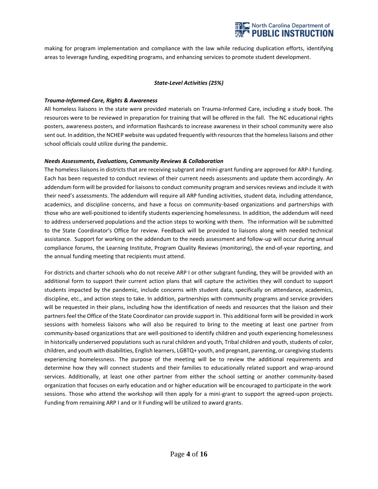

making for program implementation and compliance with the law while reducing duplication efforts, identifying areas to leverage funding, expediting programs, and enhancing services to promote student development.

# *State-Level Activities (25%)*

#### *Trauma-Informed-Care, Rights & Awareness*

All homeless liaisons in the state were provided materials on Trauma-Informed Care, including a study book. The resources were to be reviewed in preparation for training that will be offered in the fall. The NC educational rights posters, awareness posters, and information flashcards to increase awareness in their school community were also sent out. In addition, the NCHEP website was updated frequently with resources that the homeless liaisons and other school officials could utilize during the pandemic.

# *Needs Assessments, Evaluations, Community Reviews & Collaboration*

The homeless liaisons in districts that are receiving subgrant and mini-grant funding are approved for ARP-I funding. Each has been requested to conduct reviews of their current needs assessments and update them accordingly. An addendum form will be provided for liaisons to conduct community program and services reviews and include it with their need's assessments. The addendum will require all ARP funding activities, student data, including attendance, academics, and discipline concerns, and have a focus on community-based organizations and partnerships with those who are well-positioned to identify students experiencing homelessness. In addition, the addendum will need to address underserved populations and the action steps to working with them. The information will be submitted to the State Coordinator's Office for review. Feedback will be provided to liaisons along with needed technical assistance. Support for working on the addendum to the needs assessment and follow-up will occur during annual compliance forums, the Learning Institute, Program Quality Reviews (monitoring), the end-of-year reporting, and the annual funding meeting that recipients must attend.

For districts and charter schools who do not receive ARP I or other subgrant funding, they will be provided with an additional form to support their current action plans that will capture the activities they will conduct to support students impacted by the pandemic, include concerns with student data, specifically on attendance, academics, discipline, etc., and action steps to take. In addition, partnerships with community programs and service providers will be requested in their plans, including how the identification of needs and resources that the liaison and their partners feel the Office of the State Coordinator can provide support in. This additional form will be provided in work sessions with homeless liaisons who will also be required to bring to the meeting at least one partner from community-based organizations that are well-positioned to identify children and youth experiencing homelessness in historically underserved populations such as rural children and youth, Tribal children and youth, students of color, children, and youth with disabilities, English learners, LGBTQ+ youth, and pregnant, parenting, or caregiving students experiencing homelessness. The purpose of the meeting will be to review the additional requirements and determine how they will connect students and their families to educationally related support and wrap-around services. Additionally, at least one other partner from either the school setting or another community-based organization that focuses on early education and or higher education will be encouraged to participate in the work sessions. Those who attend the workshop will then apply for a mini-grant to support the agreed-upon projects. Funding from remaining ARP I and or II Funding will be utilized to award grants.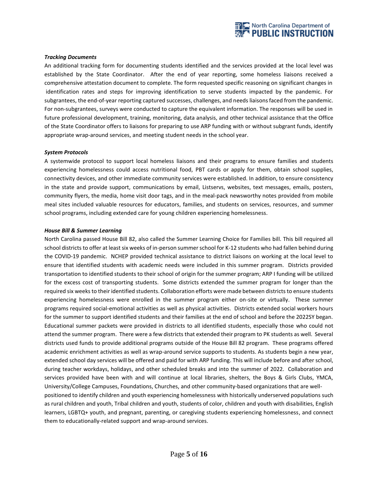

#### *Tracking Documents*

An additional tracking form for documenting students identified and the services provided at the local level was established by the State Coordinator. After the end of year reporting, some homeless liaisons received a comprehensive attestation document to complete. The form requested specific reasoning on significant changes in identification rates and steps for improving identification to serve students impacted by the pandemic. For subgrantees, the end-of-year reporting captured successes, challenges, and needs liaisons faced from the pandemic. For non-subgrantees, surveys were conducted to capture the equivalent information. The responses will be used in future professional development, training, monitoring, data analysis, and other technical assistance that the Office of the State Coordinator offers to liaisons for preparing to use ARP funding with or without subgrant funds, identify appropriate wrap-around services, and meeting student needs in the school year.

#### *System Protocols*

A systemwide protocol to support local homeless liaisons and their programs to ensure families and students experiencing homelessness could access nutritional food, PBT cards or apply for them, obtain school supplies, connectivity devices, and other immediate community services were established. In addition, to ensure consistency in the state and provide support, communications by email, Listservs, websites, text messages, emails, posters, community flyers, the media, home visit door tags, and in the meal-pack newsworthy notes provided from mobile meal sites included valuable resources for educators, families, and students on services, resources, and summer school programs, including extended care for young children experiencing homelessness.

#### *House Bill & Summer Learning*

North Carolina passed House Bill 82, also called the Summer Learning Choice for Families bill. This bill required all school districts to offer at least six weeks of in-person summer school for K-12 students who had fallen behind during the COVID-19 pandemic. NCHEP provided technical assistance to district liaisons on working at the local level to ensure that identified students with academic needs were included in this summer program. Districts provided transportation to identified students to their school of origin for the summer program; ARP I funding will be utilized for the excess cost of transporting students. Some districts extended the summer program for longer than the required six weeks to their identified students. Collaboration efforts were made between districts to ensure students experiencing homelessness were enrolled in the summer program either on-site or virtually. These summer programs required social-emotional activities as well as physical activities. Districts extended social workers hours for the summer to support identified students and their families at the end of school and before the 2022SY began. Educational summer packets were provided in districts to all identified students, especially those who could not attend the summer program. There were a few districts that extended their program to PK students as well. Several districts used funds to provide additional programs outside of the House Bill 82 program. These programs offered academic enrichment activities as well as wrap-around service supports to students. As students begin a new year, extended school day services will be offered and paid for with ARP funding. This will include before and after school, during teacher workdays, holidays, and other scheduled breaks and into the summer of 2022. Collaboration and services provided have been with and will continue at local libraries, shelters, the Boys & Girls Clubs, YMCA, University/College Campuses, Foundations, Churches, and other community-based organizations that are wellpositioned to identify children and youth experiencing homelessness with historically underserved populations such as rural children and youth, Tribal children and youth, students of color, children and youth with disabilities, English learners, LGBTQ+ youth, and pregnant, parenting, or caregiving students experiencing homelessness, and connect them to educationally-related support and wrap-around services.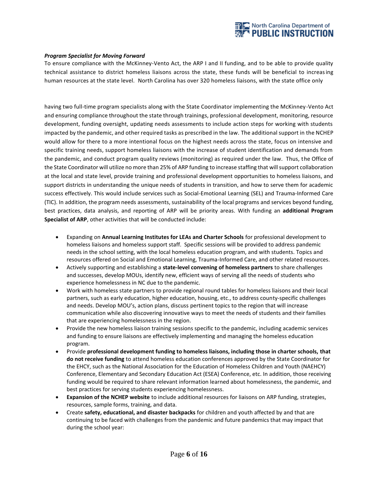

# *Program Specialist for Moving Forward*

To ensure compliance with the McKinney-Vento Act, the ARP I and II funding, and to be able to provide quality technical assistance to district homeless liaisons across the state, these funds will be beneficial to increasing human resources at the state level. North Carolina has over 320 homeless liaisons, with the state office only

having two full-time program specialists along with the State Coordinator implementing the McKinney-Vento Act and ensuring compliance throughout the state through trainings, professional development, monitoring, resource development, funding oversight, updating needs assessments to include action steps for working with students impacted by the pandemic, and other required tasks as prescribed in the law. The additional support in the NCHEP would allow for there to a more intentional focus on the highest needs across the state, focus on intensive and specific training needs, support homeless liaisons with the increase of student identification and demands from the pandemic, and conduct program quality reviews (monitoring) as required under the law. Thus, the Office of the State Coordinator will utilize no more than 25% of ARP funding to increase staffing that will support collaboration at the local and state level, provide training and professional development opportunities to homeless liaisons, and support districts in understanding the unique needs of students in transition, and how to serve them for academic success effectively. This would include services such as Social-Emotional Learning (SEL) and Trauma-Informed Care (TIC). In addition, the program needs assessments, sustainability of the local programs and services beyond funding, best practices, data analysis, and reporting of ARP will be priority areas. With funding an **additional Program Specialist of ARP**, other activities that will be conducted include:

- Expanding on **Annual Learning Institutes for LEAs and Charter Schools** for professional development to homeless liaisons and homeless support staff. Specific sessions will be provided to address pandemic needs in the school setting, with the local homeless education program, and with students. Topics and resources offered on Social and Emotional Learning, Trauma-Informed Care, and other related resources.
- Actively supporting and establishing a **state-level convening of homeless partners** to share challenges and successes, develop MOUs, identify new, efficient ways of serving all the needs of students who experience homelessness in NC due to the pandemic.
- Work with homeless state partners to provide regional round tables for homeless liaisons and their local partners, such as early education, higher education, housing, etc., to address county-specific challenges and needs. Develop MOU's, action plans, discuss pertinent topics to the region that will increase communication while also discovering innovative ways to meet the needs of students and their families that are experiencing homelessness in the region.
- Provide the new homeless liaison training sessions specific to the pandemic, including academic services and funding to ensure liaisons are effectively implementing and managing the homeless education program.
- Provide **professional development funding to homeless liaisons, including those in charter schools, that do not receive funding** to attend homeless education conferences approved by the State Coordinator for the EHCY, such as the National Association for the Education of Homeless Children and Youth (NAEHCY) Conference, Elementary and Secondary Education Act (ESEA) Conference, etc. In addition, those receiving funding would be required to share relevant information learned about homelessness, the pandemic, and best practices for serving students experiencing homelessness.
- **Expansion of the NCHEP website** to include additional resources for liaisons on ARP funding, strategies, resources, sample forms, training, and data.
- Create **safety, educational, and disaster backpacks** for children and youth affected by and that are continuing to be faced with challenges from the pandemic and future pandemics that may impact that during the school year: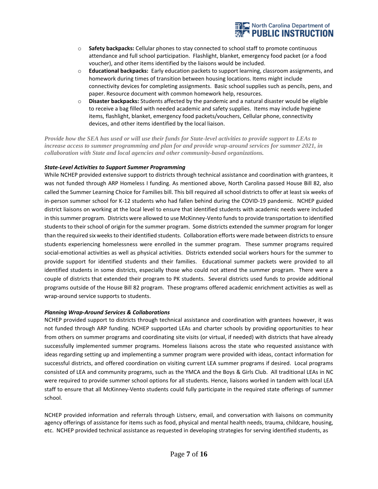

- o **Safety backpacks:** Cellular phones to stay connected to school staff to promote continuous attendance and full school participation. Flashlight, blanket, emergency food packet (or a food voucher), and other items identified by the liaisons would be included.
- o **Educational backpacks:** Early education packets to support learning, classroom assignments, and homework during times of transition between housing locations. Items might include connectivity devices for completing assignments. Basic school supplies such as pencils, pens, and paper. Resource document with common homework help, resources.
- o **Disaster backpacks:** Students affected by the pandemic and a natural disaster would be eligible to receive a bag filled with needed academic and safety supplies. Items may include hygiene items, flashlight, blanket, emergency food packets/vouchers, Cellular phone, connectivity devices, and other items identified by the local liaison.

*Provide how the SEA has used or will use their funds for State-level activities to provide support to LEAs to increase access to summer programming and plan for and provide wrap-around services for summer 2021, in collaboration with State and local agencies and other community-based organizations.*

# *State-Level Activities to Support Summer Programming*

While NCHEP provided extensive support to districts through technical assistance and coordination with grantees, it was not funded through ARP Homeless I funding. As mentioned above, North Carolina passed House Bill 82, also called the Summer Learning Choice for Families bill. This bill required all school districts to offer at least six weeks of in-person summer school for K-12 students who had fallen behind during the COVID-19 pandemic. NCHEP guided district liaisons on working at the local level to ensure that identified students with academic needs were included in this summer program. Districts were allowed to use McKinney-Vento funds to provide transportation to identified students to their school of origin for the summer program. Some districts extended the summer program for longer than the required six weeks to their identified students. Collaboration efforts were made between districts to ensure students experiencing homelessness were enrolled in the summer program. These summer programs required social-emotional activities as well as physical activities. Districts extended social workers hours for the summer to provide support for identified students and their families. Educational summer packets were provided to all identified students in some districts, especially those who could not attend the summer program. There were a couple of districts that extended their program to PK students. Several districts used funds to provide additional programs outside of the House Bill 82 program. These programs offered academic enrichment activities as well as wrap-around service supports to students.

# *Planning Wrap-Around Services & Collaborations*

NCHEP provided support to districts through technical assistance and coordination with grantees however, it was not funded through ARP funding. NCHEP supported LEAs and charter schools by providing opportunities to hear from others on summer programs and coordinating site visits (or virtual, if needed) with districts that have already successfully implemented summer programs. Homeless liaisons across the state who requested assistance with ideas regarding setting up and implementing a summer program were provided with ideas, contact information for successful districts, and offered coordination on visiting current LEA summer programs if desired. Local programs consisted of LEA and community programs, such as the YMCA and the Boys & Girls Club. All traditional LEAs in NC were required to provide summer school options for all students. Hence, liaisons worked in tandem with local LEA staff to ensure that all McKinney-Vento students could fully participate in the required state offerings of summer school.

NCHEP provided information and referrals through Listserv, email, and conversation with liaisons on community agency offerings of assistance for items such as food, physical and mental health needs, trauma, childcare, housing, etc. NCHEP provided technical assistance as requested in developing strategies for serving identified students, as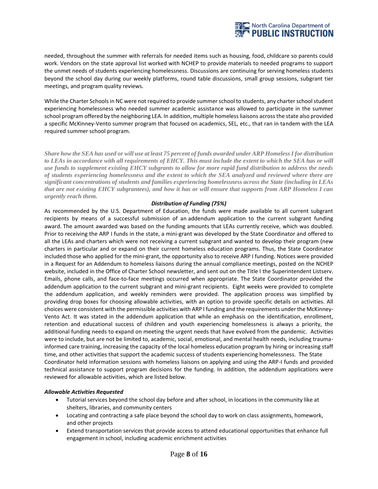

needed, throughout the summer with referrals for needed items such as housing, food, childcare so parents could work. Vendors on the state approval list worked with NCHEP to provide materials to needed programs to support the unmet needs of students experiencing homelessness. Discussions are continuing for serving homeless students beyond the school day during our weekly platforms, round table discussions, small group sessions, subgrant tier meetings, and program quality reviews.

While the Charter Schools in NC were not required to provide summer school to students, any charter school student experiencing homelessness who needed summer academic assistance was allowed to participate in the summer school program offered by the neighboring LEA. In addition, multiple homeless liaisons across the state also provided a specific McKinney-Vento summer program that focused on academics, SEL, etc., that ran in tandem with the LEA required summer school program.

*Share how the SEA has used or will use at least 75 percent of funds awarded under ARP Homeless I for distribution*  to LEAs in accordance with all requirements of EHCY. This must include the extent to which the SEA has or will *use funds to supplement existing EHCY subgrants to allow for more rapid fund distribution to address the needs of students experiencing homelessness and the extent to which the SEA analyzed and reviewed where there are significant concentrations of students and families experiencing homelessness across the State (including in LEAs that are not existing EHCY subgrantees), and how it has or will ensure that supports from ARP Homeless I can urgently reach them.*

# *Distribution of Funding (75%)*

As recommended by the U.S. Department of Education, the funds were made available to all current subgrant recipients by means of a successful submission of an addendum application to the current subgrant funding award. The amount awarded was based on the funding amounts that LEAs currently receive, which was doubled. Prior to receiving the ARP I funds in the state, a mini-grant was developed by the State Coordinator and offered to all the LEAs and charters which were not receiving a current subgrant and wanted to develop their program (new charters in particular and or expand on their current homeless education programs. Thus, the State Coordinator included those who applied for the mini-grant, the opportunity also to receive ARP I funding. Notices were provided in a Request for an Addendum to homeless liaisons during the annual compliance meetings, posted on the NCHEP website, included in the Office of Charter School newsletter, and sent out on the Title I the Superintendent Listserv. Emails, phone calls, and face-to-face meetings occurred when appropriate. The State Coordinator provided the addendum application to the current subgrant and mini-grant recipients. Eight weeks were provided to complete the addendum application, and weekly reminders were provided. The application process was simplified by providing drop boxes for choosing allowable activities, with an option to provide specific details on activities. All choices were consistent with the permissible activities with ARP I funding and the requirements under the McKinney-Vento Act. It was stated in the addendum application that while an emphasis on the identification, enrollment, retention and educational success of children and youth experiencing homelessness is always a priority, the additional funding needs to expand on meeting the urgent needs that have evolved from the pandemic. Activities were to include, but are not be limited to, academic, social, emotional, and mental health needs, including traumainformed care training, increasing the capacity of the local homeless education program by hiring or increasing staff time, and other activities that support the academic success of students experiencing homelessness. The State Coordinator held information sessions with homeless liaisons on applying and using the ARP-I funds and provided technical assistance to support program decisions for the funding. In addition, the addendum applications were reviewed for allowable activities, which are listed below.

# *Allowable Activities Requested*

- Tutorial services beyond the school day before and after school, in locations in the community like at shelters, libraries, and community centers
- Locating and contracting a safe place beyond the school day to work on class assignments, homework, and other projects
- Extend transportation services that provide access to attend educational opportunities that enhance full engagement in school, including academic enrichment activities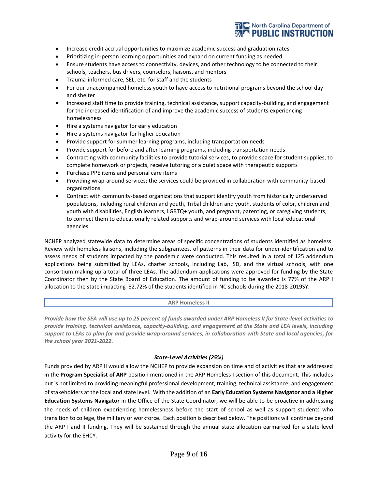

- Increase credit accrual opportunities to maximize academic success and graduation rates
- Prioritizing in-person learning opportunities and expand on current funding as needed
- Ensure students have access to connectivity, devices, and other technology to be connected to their schools, teachers, bus drivers, counselors, liaisons, and mentors
- Trauma-informed care, SEL, etc. for staff and the students
- For our unaccompanied homeless youth to have access to nutritional programs beyond the school day and shelter
- Increased staff time to provide training, technical assistance, support capacity-building, and engagement for the increased identification of and improve the academic success of students experiencing homelessness
- Hire a systems navigator for early education
- Hire a systems navigator for higher education
- Provide support for summer learning programs, including transportation needs
- Provide support for before and after learning programs, including transportation needs
- Contracting with community facilities to provide tutorial services, to provide space for student supplies, to complete homework or projects, receive tutoring or a quiet space with therapeutic supports
- Purchase PPE items and personal care items
- Providing wrap-around services; the services could be provided in collaboration with community-based organizations
- Contract with community-based organizations that support identify youth from historically underserved populations, including rural children and youth, Tribal children and youth, students of color, children and youth with disabilities, English learners, LGBTQ+ youth, and pregnant, parenting, or caregiving students, to connect them to educationally related supports and wrap-around services with local educational agencies

NCHEP analyzed statewide data to determine areas of specific concentrations of students identified as homeless. Review with homeless liaisons, including the subgrantees, of patterns in their data for under-identification and to assess needs of students impacted by the pandemic were conducted. This resulted in a total of 125 addendum applications being submitted by LEAs, charter schools, including Lab, ISD, and the virtual schools, with one consortium making up a total of three LEAs. The addendum applications were approved for funding by the State Coordinator then by the State Board of Education. The amount of funding to be awarded is 77% of the ARP I allocation to the state impacting 82.72% of the students identified in NC schools during the 2018-2019SY.

# **ARP Homeless II**

*Provide how the SEA will use up to 25 percent of funds awarded under ARP Homeless II for State-level activities to provide training, technical assistance, capacity-building, and engagement at the State and LEA levels, including support to LEAs to plan for and provide wrap-around services, in collaboration with State and local agencies, for the school year 2021-2022.*

# *State-Level Activities (25%)*

Funds provided by ARP II would allow the NCHEP to provide expansion on time and of activities that are addressed in the **Program Specialist of ARP** position mentioned in the ARP Homeless I section of this document. This includes but is not limited to providing meaningful professional development, training, technical assistance, and engagement of stakeholders at the local and state level. With the addition of an **Early Education Systems Navigator and a Higher Education Systems Navigator** in the Office of the State Coordinator, we will be able to be proactive in addressing the needs of children experiencing homelessness before the start of school as well as support students who transition to college, the military or workforce. Each position is described below. The positions will continue beyond the ARP I and II funding. They will be sustained through the annual state allocation earmarked for a state-level activity for the EHCY.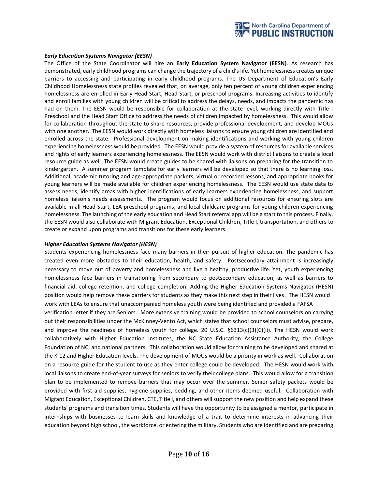

#### *Early Education Systems Navigator (EESN)*

The Office of the State Coordinator will hire an **Early Education System Navigator (EESN)**. As research has demonstrated, early childhood programs can change the trajectory of a child's life. Yet homelessness creates unique barriers to accessing and participating in early childhood programs. The US Department of Education's Early Childhood Homelessness state profiles revealed that, on average, only ten percent of young children experiencing homelessness are enrolled in Early Head Start, Head Start, or preschool programs. Increasing activities to identify and enroll families with young children will be critical to address the delays, needs, and impacts the pandemic has had on them. The EESN would be responsible for collaboration at the state level, working directly with Title I Preschool and the Head Start Office to address the needs of children impacted by homelessness. This would allow for collaboration throughout the state to share resources, provide professional development, and develop MOUs with one another. The EESN would work directly with homeless liaisons to ensure young children are identified and enrolled across the state. Professional development on making identifications and working with young children experiencing homelessness would be provided. The EESN would provide a system of resources for available services and rights of early learners experiencing homelessness. The EESN would work with district liaisons to create a local resource guide as well. The EESN would create guides to be shared with liaisons on preparing for the transition to kindergarten. A summer program template for early learners will be developed so that there is no learning loss. Additional, academic tutoring and age-appropriate packets, virtual or recorded lessons, and appropriate books for young learners will be made available for children experiencing homelessness. The EESN would use state data to assess needs, identify areas with higher identifications of early learners experiencing homelessness, and support homeless liaison's needs assessments. The program would focus on additional resources for ensuring slots are available in all Head Start, LEA preschool programs, and local childcare programs for young children experiencing homelessness. The launching of the early education and Head Start referral app will be a start to this process. Finally, the EESN would also collaborate with Migrant Education, Exceptional Children, Title I, transportation, and others to create or expand upon programs and transitions for these early learners.

#### *Higher Education Systems Navigator (HESN)*

Students experiencing homelessness face many barriers in their pursuit of higher education. The pandemic has created even more obstacles to their education, health, and safety. Postsecondary attainment is increasingly necessary to move out of poverty and homelessness and live a healthy, productive life. Yet, youth experiencing homelessness face barriers in transitioning from secondary to postsecondary education, as well as barriers to financial aid, college retention, and college completion. Adding the Higher Education Systems Navigator (HESN) position would help remove these barriers for students as they make this next step in their lives. The HESN would work with LEAs to ensure that unaccompanied homeless youth were being identified and provided a FAFSA

verification letter if they are Seniors. More extensive training would be provided to school counselors on carrying out their responsibilities under the McKinney-Vento Act, which states that school counselors must advise, prepare, and improve the readiness of homeless youth for college. 20 U.S.C. §6313(c)(3)(C)(ii). The HESN would work collaboratively with Higher Education Institutes, the NC State Education Assistance Authority, the College Foundation of NC, and national partners. This collaboration would allow for training to be developed and shared at the K-12 and Higher Education levels. The development of MOUs would be a priority in work as well. Collaboration on a resource guide for the student to use as they enter college could be developed. The HESN would work with local liaisons to create end-of-year surveys for seniors to verify their college plans. This would allow for a transition plan to be implemented to remove barriers that may occur over the summer. Senior safety packets would be provided with first aid supplies, hygiene supplies, bedding, and other items deemed useful. Collaboration with Migrant Education, Exceptional Children, CTE, Title I, and others willsupport the new position and help expand these students' programs and transition times. Students will have the opportunity to be assigned a mentor, participate in internships with businesses to learn skills and knowledge of a trait to determine interests in advancing their education beyond high school, the workforce, or entering the military. Students who are identified and are preparing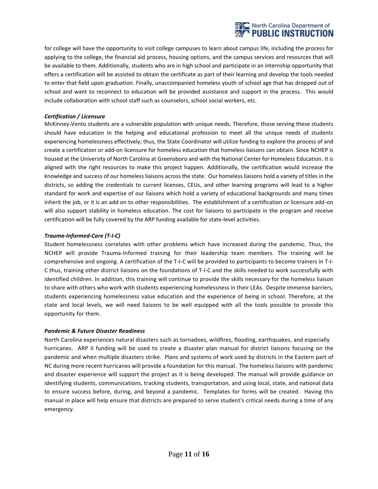

for college will have the opportunity to visit college campuses to learn about campus life, including the process for applying to the college, the financial aid process, housing options, and the campus services and resources that will be available to them. Additionally, students who are in high school and participate in an internship opportunity that offers a certification will be assisted to obtain the certificate as part of their learning and develop the tools needed to enter that field upon graduation. Finally, unaccompanied homeless youth of school age that has dropped out of school and want to reconnect to education will be provided assistance and support in the process. This would include collaboration with school staff such as counselors, school social workers, etc.

#### *Certification / Licensure*

McKinney-Vento students are a vulnerable population with unique needs. Therefore, those serving these students should have education in the helping and educational profession to meet all the unique needs of students experiencing homelessness effectively; thus, the State Coordinator will utilize funding to explore the process of and create a certification or add-on licensure for homeless education that homeless liaisons can obtain. Since NCHEP is housed at the University of North Carolina at Greensboro and with the National Center for Homeless Education. It is aligned with the right resources to make this project happen. Additionally, the certification would increase the knowledge and success of our homeless liaisons across the state. Our homeless liaisons hold a variety of titles in the districts, so adding the credentials to current licenses, CEUs, and other learning programs will lead to a higher standard for work and expertise of our liaisons which hold a variety of educational backgrounds and many times inherit the job, or it is an add on to other responsibilities. The establishment of a certification or licensure add-on will also support stability in homeless education. The cost for liaisons to participate in the program and receive certification will be fully covered by the ARP funding available for state-level activities.

# *Trauma-Informed-Care (T-I-C)*

Student homelessness correlates with other problems which have increased during the pandemic. Thus, the NCHEP will provide Trauma-Informed training for their leadership team members. The training will be comprehensive and ongoing. A certification of the T-I-C will be provided to participants to become trainers in T-I-C thus, training other district liaisons on the foundations of T-I-C and the skills needed to work successfully with identified children. In addition, this training will continue to provide the skills necessary for the homeless liaison to share with others who work with students experiencing homelessness in their LEAs. Despite immense barriers, students experiencing homelessness value education and the experience of being in school. Therefore, at the state and local levels, we will need liaisons to be well equipped with all the tools possible to provide this opportunity for them.

# *Pandemic & Future Disaster Readiness*

North Carolina experiences natural disasters such as tornadoes, wildfires, flooding, earthquakes, and especially hurricanes. ARP II funding will be used to create a disaster plan manual for district liaisons focusing on the pandemic and when multiple disasters strike. Plans and systems of work used by districts in the Eastern part of NC during more recent hurricanes will provide a foundation for this manual. The homeless liaisons with pandemic and disaster experience will support the project as it is being developed. The manual will provide guidance on identifying students, communications, tracking students, transportation, and using local, state, and national data to ensure success before, during, and beyond a pandemic. Templates for forms will be created. Having this manual in place will help ensure that districts are prepared to serve student's critical needs during a time of any emergency.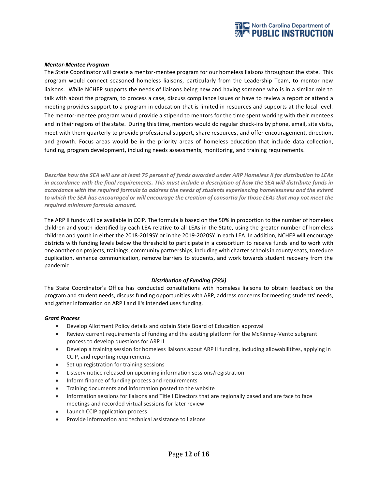

#### *Mentor-Mentee Program*

The State Coordinator will create a mentor-mentee program for our homeless liaisons throughout the state. This program would connect seasoned homeless liaisons, particularly from the Leadership Team, to mentor new liaisons. While NCHEP supports the needs of liaisons being new and having someone who is in a similar role to talk with about the program, to process a case, discuss compliance issues or have to review a report or attend a meeting provides support to a program in education that is limited in resources and supports at the local level. The mentor-mentee program would provide a stipend to mentors for the time spent working with their mentees and in their regions of the state. During this time, mentors would do regular check-ins by phone, email, site visits, meet with them quarterly to provide professional support, share resources, and offer encouragement, direction, and growth. Focus areas would be in the priority areas of homeless education that include data collection, funding, program development, including needs assessments, monitoring, and training requirements.

*Describe how the SEA will use at least 75 percent of funds awarded under ARP Homeless II for distribution to LEAs in accordance with the final requirements. This must include a description of how the SEA will distribute funds in accordance with the required formula to address the needs of students experiencing homelessness and the extent to which the SEA has encouraged or will encourage the creation of consortia for those LEAs that may not meet the required minimum formula amount.*

The ARP II funds will be available in CCIP. The formula is based on the 50% in proportion to the number of homeless children and youth identified by each LEA relative to all LEAs in the State, using the greater number of homeless children and youth in either the 2018-2019SY or in the 2019-2020SY in each LEA. In addition, NCHEP will encourage districts with funding levels below the threshold to participate in a consortium to receive funds and to work with one another on projects, trainings, community partnerships, including with charter schools in county seats, to reduce duplication, enhance communication, remove barriers to students, and work towards student recovery from the pandemic.

# *Distribution of Funding (75%)*

The State Coordinator's Office has conducted consultations with homeless liaisons to obtain feedback on the program and student needs, discuss funding opportunities with ARP, address concerns for meeting students' needs, and gather information on ARP I and II's intended uses funding.

#### *Grant Process*

- Develop Allotment Policy details and obtain State Board of Education approval
- Review current requirements of funding and the existing platform for the McKinney-Vento subgrant process to develop questions for ARP II
- Develop a training session for homeless liaisons about ARP II funding, including allowabilitites, applying in CCIP, and reporting requirements
- Set up registration for training sessions
- Listserv notice released on upcoming information sessions/registration
- Inform finance of funding process and requirements
- Training documents and information posted to the website
- Information sessions for liaisons and Title I Directors that are regionally based and are face to face meetings and recorded virtual sessions for later review
- Launch CCIP application process
- Provide information and technical assistance to liaisons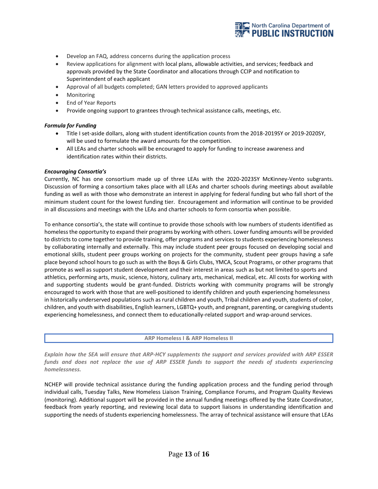

- Develop an FAQ, address concerns during the application process
- Review applications for alignment with local plans, allowable activities, and services; feedback and approvals provided by the State Coordinator and allocations through CCIP and notification to Superintendent of each applicant
- Approval of all budgets completed; GAN letters provided to approved applicants
- Monitoring
- End of Year Reports
- Provide ongoing support to grantees through technical assistance calls, meetings, etc.

#### *Formula for Funding*

- Title I set-aside dollars, along with student identification counts from the 2018-2019SY or 2019-2020SY, will be used to formulate the award amounts for the competition.
- All LEAs and charter schools will be encouraged to apply for funding to increase awareness and identification rates within their districts.

#### *Encouraging Consortia's*

Currently, NC has one consortium made up of three LEAs with the 2020-2023SY McKinney-Vento subgrants. Discussion of forming a consortium takes place with all LEAs and charter schools during meetings about available funding as well as with those who demonstrate an interest in applying for federal funding but who fall short of the minimum student count for the lowest funding tier. Encouragement and information will continue to be provided in all discussions and meetings with the LEAs and charter schools to form consortia when possible.

To enhance consortia's, the state will continue to provide those schools with low numbers of students identified as homeless the opportunity to expand their programs by working with others. Lower funding amounts will be provided to districts to come together to provide training, offer programs and services to students experiencing homelessness by collaborating internally and externally. This may include student peer groups focused on developing social and emotional skills, student peer groups working on projects for the community, student peer groups having a safe place beyond school hours to go such as with the Boys & Girls Clubs, YMCA, Scout Programs, or other programs that promote as well as support student development and their interest in areas such as but not limited to sports and athletics, performing arts, music, science, history, culinary arts, mechanical, medical, etc. All costs for working with and supporting students would be grant-funded. Districts working with community programs will be strongly encouraged to work with those that are well-positioned to identify children and youth experiencing homelessness in historically underserved populations such as rural children and youth, Tribal children and youth, students of color, children, and youth with disabilities, English learners, LGBTQ+ youth, and pregnant, parenting, or caregiving students experiencing homelessness, and connect them to educationally-related support and wrap-around services.

**ARP Homeless I & ARP Homeless II**

*Explain how the SEA will ensure that ARP-HCY supplements the support and services provided with ARP ESSER*  funds and does not replace the use of ARP ESSER funds to support the needs of students experiencing *homelessness.*

NCHEP will provide technical assistance during the funding application process and the funding period through individual calls, Tuesday Talks, New Homeless Liaison Training, Compliance Forums, and Program Quality Reviews (monitoring). Additional support will be provided in the annual funding meetings offered by the State Coordinator, feedback from yearly reporting, and reviewing local data to support liaisons in understanding identification and supporting the needs of students experiencing homelessness. The array of technical assistance will ensure that LEAs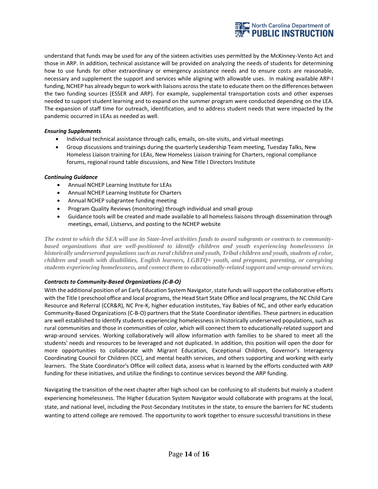

understand that funds may be used for any of the sixteen activities uses permitted by the McKinney-Vento Act and those in ARP. In addition, technical assistance will be provided on analyzing the needs of students for determining how to use funds for other extraordinary or emergency assistance needs and to ensure costs are reasonable, necessary and supplement the support and services while aligning with allowable uses. In making available ARP-I funding, NCHEP has already begun to work with liaisons across the state to educate them on the differences between the two funding sources (ESSER and ARP). For example, supplemental transportation costs and other expenses needed to support student learning and to expand on the summer program were conducted depending on the LEA. The expansion of staff time for outreach, identification, and to address student needs that were impacted by the pandemic occurred in LEAs as needed as well.

# *Ensuring Supplements*

- Individual technical assistance through calls, emails, on-site visits, and virtual meetings
- Group discussions and trainings during the quarterly Leadership Team meeting, Tuesday Talks, New Homeless Liaison training for LEAs, New Homeless Liaison training for Charters, regional compliance forums, regional round table discussions, and New Title I Directors Institute

#### *Continuing Guidance*

- Annual NCHEP Learning Institute for LEAs
- Annual NCHEP Learning Institute for Charters
- Annual NCHEP subgrantee funding meeting
- Program Quality Reviews (monitoring) through individual and small group
- Guidance tools will be created and made available to all homeless liaisons through dissemination through meetings, email, Listservs, and posting to the NCHEP website

*The extent to which the SEA will use its State-level activities funds to award subgrants or contracts to communitybased organizations that are well-positioned to identify children and youth experiencing homelessness in historically underserved populations such as rural children and youth, Tribal children and youth, students of color, children and youth with disabilities, English learners, LGBTQ+ youth, and pregnant, parenting, or caregiving students experiencing homelessness, and connect them to educationally-related support and wrap-around services.*

# *Contracts to Community-Based Organizations (C-B-O)*

With the additional position of an Early Education System Navigator, state funds will support the collaborative efforts with the Title I preschool office and local programs, the Head Start State Office and local programs, the NC Child Care Resource and Referral (CCR&R), NC Pre-K, higher education institutes, Yay Babies of NC, and other early education Community-Based Organizations (C-B-O) partners that the State Coordinator identifies. These partners in education are well established to identify students experiencing homelessness in historically underserved populations, such as rural communities and those in communities of color, which will connect them to educationally-related support and wrap-around services. Working collaboratively will allow information with families to be shared to meet all the students' needs and resources to be leveraged and not duplicated. In addition, this position will open the door for more opportunities to collaborate with Migrant Education, Exceptional Children, Governor's Interagency Coordinating Council for Children (ICC), and mental health services, and others supporting and working with early learners. The State Coordinator's Office will collect data, assess what is learned by the efforts conducted with ARP funding for these initiatives, and utilize the findings to continue services beyond the ARP funding.

Navigating the transition of the next chapter after high school can be confusing to all students but mainly a student experiencing homelessness. The Higher Education System Navigator would collaborate with programs at the local, state, and national level, including the Post-Secondary Institutes in the state, to ensure the barriers for NC students wanting to attend college are removed. The opportunity to work together to ensure successful transitions in these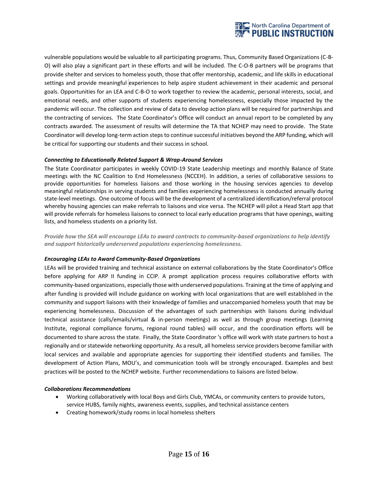

vulnerable populations would be valuable to all participating programs. Thus, Community Based Organizations (C-B-O) will also play a significant part in these efforts and will be included. The C-O-B partners will be programs that provide shelter and services to homeless youth, those that offer mentorship, academic, and life skills in educational settings and provide meaningful experiences to help aspire student achievement in their academic and personal goals. Opportunities for an LEA and C-B-O to work together to review the academic, personal interests, social, and emotional needs, and other supports of students experiencing homelessness, especially those impacted by the pandemic will occur. The collection and review of data to develop action plans will be required for partnerships and the contracting of services. The State Coordinator's Office will conduct an annual report to be completed by any contracts awarded. The assessment of results will determine the TA that NCHEP may need to provide. The State Coordinator will develop long-term action steps to continue successful initiatives beyond the ARP funding, which will be critical for supporting our students and their success in school.

# *Connecting to Educationally Related Support & Wrap-Around Services*

The State Coordinator participates in weekly COVID-19 State Leadership meetings and monthly Balance of State meetings with the NC Coalition to End Homelessness (NCCEH). In addition, a series of collaborative sessions to provide opportunities for homeless liaisons and those working in the housing services agencies to develop meaningful relationships in serving students and families experiencing homelessness is conducted annually during state-level meetings. One outcome of focus will be the development of a centralized identification/referral protocol whereby housing agencies can make referrals to liaisons and vice versa. The NCHEP will pilot a Head Start app that will provide referrals for homeless liaisons to connect to local early education programs that have openings, waiting lists, and homeless students on a priority list.

*Provide how the SEA will encourage LEAs to award contracts to community-based organizations to help identify and support historically underserved populations experiencing homelessness.*

# *Encouraging LEAs to Award Community-Based Organizations*

LEAs will be provided training and technical assistance on external collaborations by the State Coordinator's Office before applying for ARP II funding in CCIP. A prompt application process requires collaborative efforts with community-based organizations, especially those with underserved populations. Training at the time of applying and after funding is provided will include guidance on working with local organizations that are well established in the community and support liaisons with their knowledge of families and unaccompanied homeless youth that may be experiencing homelessness. Discussion of the advantages of such partnerships with liaisons during individual technical assistance (calls/emails/virtual & in-person meetings) as well as through group meetings (Learning Institute, regional compliance forums, regional round tables) will occur, and the coordination efforts will be documented to share across the state. Finally, the State Coordinator 's office will work with state partners to host a regionally and or statewide networking opportunity. As a result, all homeless service providers become familiar with local services and available and appropriate agencies for supporting their identified students and families. The development of Action Plans, MOU's, and communication tools will be strongly encouraged. Examples and best practices will be posted to the NCHEP website. Further recommendations to liaisons are listed below.

# *Collaborations Recommendations*

- Working collaboratively with local Boys and Girls Club, YMCAs, or community centers to provide tutors, service HUBS, family nights, awareness events, supplies, and technical assistance centers
- Creating homework/study rooms in local homeless shelters